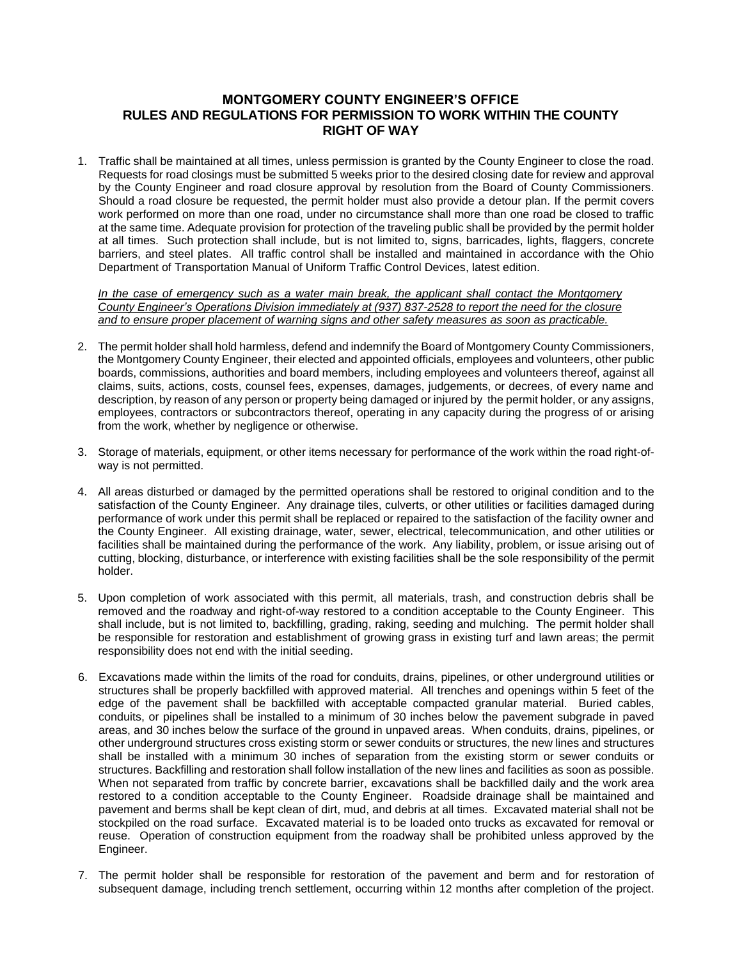## **MONTGOMERY COUNTY ENGINEER'S OFFICE RULES AND REGULATIONS FOR PERMISSION TO WORK WITHIN THE COUNTY RIGHT OF WAY**

1. Traffic shall be maintained at all times, unless permission is granted by the County Engineer to close the road. Requests for road closings must be submitted 5 weeks prior to the desired closing date for review and approval by the County Engineer and road closure approval by resolution from the Board of County Commissioners. Should a road closure be requested, the permit holder must also provide a detour plan. If the permit covers work performed on more than one road, under no circumstance shall more than one road be closed to traffic at the same time. Adequate provision for protection of the traveling public shall be provided by the permit holder at all times. Such protection shall include, but is not limited to, signs, barricades, lights, flaggers, concrete barriers, and steel plates. All traffic control shall be installed and maintained in accordance with the Ohio Department of Transportation Manual of Uniform Traffic Control Devices, latest edition.

*In the case of emergency such as a water main break, the applicant shall contact the Montgomery County Engineer's Operations Division immediately at (937) 837-2528 to report the need for the closure and to ensure proper placement of warning signs and other safety measures as soon as practicable.*

- 2. The permit holder shall hold harmless, defend and indemnify the Board of Montgomery County Commissioners, the Montgomery County Engineer, their elected and appointed officials, employees and volunteers, other public boards, commissions, authorities and board members, including employees and volunteers thereof, against all claims, suits, actions, costs, counsel fees, expenses, damages, judgements, or decrees, of every name and description, by reason of any person or property being damaged or injured by the permit holder, or any assigns, employees, contractors or subcontractors thereof, operating in any capacity during the progress of or arising from the work, whether by negligence or otherwise.
- 3. Storage of materials, equipment, or other items necessary for performance of the work within the road right-ofway is not permitted.
- 4. All areas disturbed or damaged by the permitted operations shall be restored to original condition and to the satisfaction of the County Engineer. Any drainage tiles, culverts, or other utilities or facilities damaged during performance of work under this permit shall be replaced or repaired to the satisfaction of the facility owner and the County Engineer. All existing drainage, water, sewer, electrical, telecommunication, and other utilities or facilities shall be maintained during the performance of the work. Any liability, problem, or issue arising out of cutting, blocking, disturbance, or interference with existing facilities shall be the sole responsibility of the permit holder.
- 5. Upon completion of work associated with this permit, all materials, trash, and construction debris shall be removed and the roadway and right-of-way restored to a condition acceptable to the County Engineer. This shall include, but is not limited to, backfilling, grading, raking, seeding and mulching. The permit holder shall be responsible for restoration and establishment of growing grass in existing turf and lawn areas; the permit responsibility does not end with the initial seeding.
- 6. Excavations made within the limits of the road for conduits, drains, pipelines, or other underground utilities or structures shall be properly backfilled with approved material. All trenches and openings within 5 feet of the edge of the pavement shall be backfilled with acceptable compacted granular material. Buried cables, conduits, or pipelines shall be installed to a minimum of 30 inches below the pavement subgrade in paved areas, and 30 inches below the surface of the ground in unpaved areas. When conduits, drains, pipelines, or other underground structures cross existing storm or sewer conduits or structures, the new lines and structures shall be installed with a minimum 30 inches of separation from the existing storm or sewer conduits or structures. Backfilling and restoration shall follow installation of the new lines and facilities as soon as possible. When not separated from traffic by concrete barrier, excavations shall be backfilled daily and the work area restored to a condition acceptable to the County Engineer. Roadside drainage shall be maintained and pavement and berms shall be kept clean of dirt, mud, and debris at all times. Excavated material shall not be stockpiled on the road surface. Excavated material is to be loaded onto trucks as excavated for removal or reuse. Operation of construction equipment from the roadway shall be prohibited unless approved by the Engineer.
- 7. The permit holder shall be responsible for restoration of the pavement and berm and for restoration of subsequent damage, including trench settlement, occurring within 12 months after completion of the project.